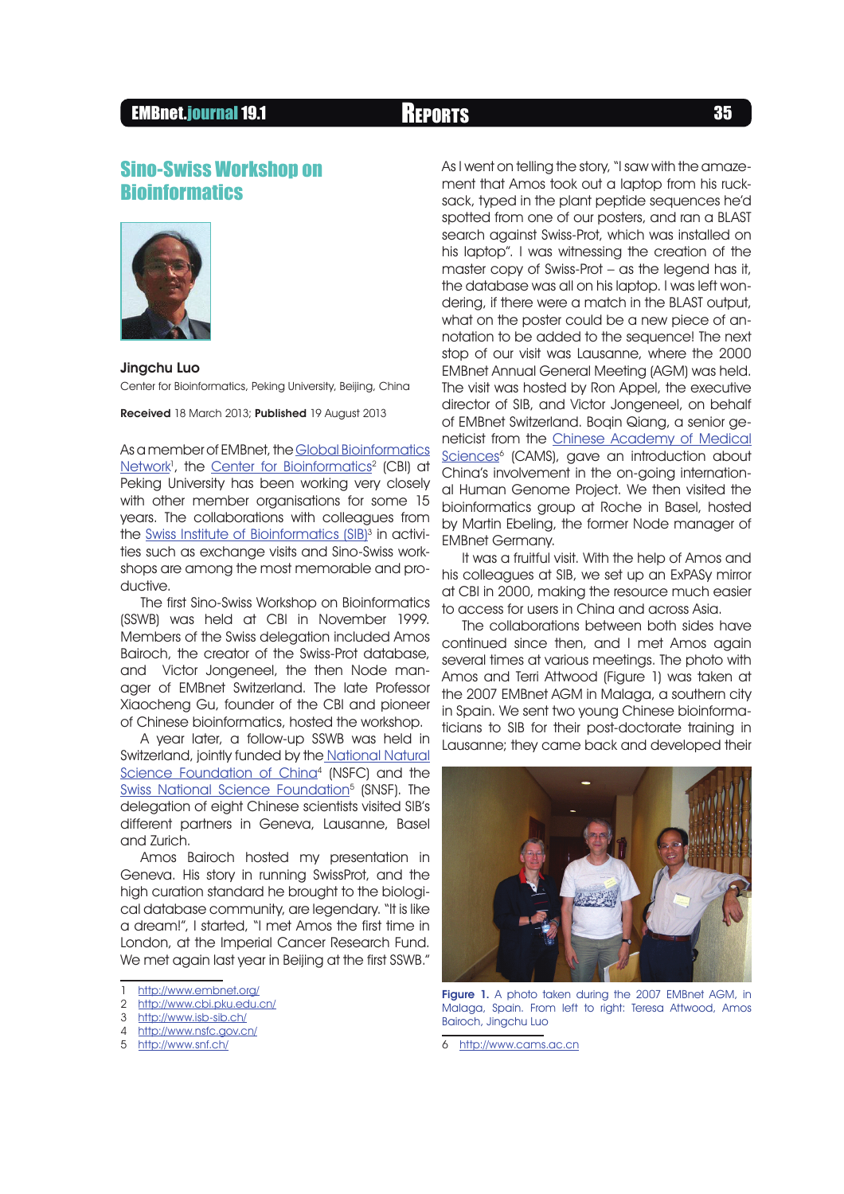## EMBnet.journal 19.1 **REPORTS** 35

# Sino-Swiss Workshop on **Bioinformatics**



### Jingchu Luo

Center for Bioinformatics, Peking University, Beijing, China

Received 18 March 2013; Published 19 August 2013

As a member of EMBnet, the Global Bioinformatics <u>Network</u>', the <u>Center for Bioinformatics</u><sup>2</sup> (CBI) at Peking University has been working very closely with other member organisations for some 15 years. The collaborations with colleagues from the <u>Swiss Institute of Bioinformatics (SIB</u>)<sup>3</sup> in activities such as exchange visits and Sino-Swiss workshops are among the most memorable and productive.

The first Sino-Swiss Workshop on Bioinformatics (SSWB) was held at CBI in November 1999. Members of the Swiss delegation included Amos Bairoch, the creator of the Swiss-Prot database, and Victor Jongeneel, the then Node manager of EMBnet Switzerland. The late Professor Xiaocheng Gu, founder of the CBI and pioneer of Chinese bioinformatics, hosted the workshop.

A year later, a follow-up SSWB was held in Switzerland, jointly funded by the National Natural Science Foundation of China<sup>4</sup> (NSFC) and the <u>Swiss National Science Foundation</u><sup>5</sup> (SNSF). The delegation of eight Chinese scientists visited SIB's different partners in Geneva, Lausanne, Basel and Zurich.

Amos Bairoch hosted my presentation in Geneva. His story in running SwissProt, and the high curation standard he brought to the biological database community, are legendary. "It is like a dream!", I started, "I met Amos the first time in London, at the Imperial Cancer Research Fund. We met again last year in Beijing at the first SSWB."

- 1 http://www.embnet.org/<br>2 http://www.cbi.pku.edu.
- http://www.cbi.pku.edu.cn/
- 3 http://www.isb-sib.ch/
- 4 http://www.nsfc.gov.cn/
- 5 http://www.snf.ch/

As I went on telling the story, "I saw with the amazement that Amos took out a laptop from his rucksack, typed in the plant peptide sequences he'd spotted from one of our posters, and ran a BLAST search against Swiss-Prot, which was installed on his laptop". I was witnessing the creation of the master copy of Swiss-Prot – as the legend has it, the database was all on his laptop. I was left wondering, if there were a match in the BLAST output, what on the poster could be a new piece of annotation to be added to the sequence! The next stop of our visit was Lausanne, where the 2000 EMBnet Annual General Meeting (AGM) was held. The visit was hosted by Ron Appel, the executive director of SIB, and Victor Jongeneel, on behalf of EMBnet Switzerland. Boqin Qiang, a senior geneticist from the Chinese Academy of Medical Sciences<sup>6</sup> (CAMS), gave an introduction about China's involvement in the on-going international Human Genome Project. We then visited the bioinformatics group at Roche in Basel, hosted by Martin Ebeling, the former Node manager of EMBnet Germany.

It was a fruitful visit. With the help of Amos and his colleagues at SIB, we set up an ExPASy mirror at CBI in 2000, making the resource much easier to access for users in China and across Asia.

The collaborations between both sides have continued since then, and I met Amos again several times at various meetings. The photo with Amos and Terri Attwood (Figure 1) was taken at the 2007 EMBnet AGM in Malaga, a southern city in Spain. We sent two young Chinese bioinformaticians to SIB for their post-doctorate training in Lausanne; they came back and developed their



Figure 1. A photo taken during the 2007 EMBnet AGM, in Malaga, Spain. From left to right: Teresa Attwood, Amos Bairoch, Jingchu Luo

<sup>6</sup> http://www.cams.ac.cn